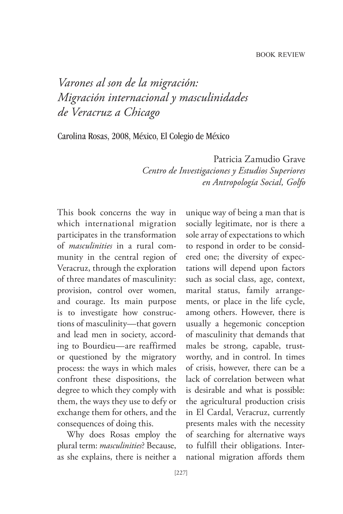*Varones al son de la migración: Migración internacional y masculinidades de Veracruz a Chicago*

Carolina Rosas, 2008, México, El Colegio de México

Patricia Zamudio Grave *Centro de Investigaciones y Estudios Superiores en Antropología Social, Golfo* 

This book concerns the way in which international migration participates in the transformation of *masculinities* in a rural community in the central region of Veracruz, through the exploration of three mandates of masculinity: provision, control over women, and courage. Its main purpose is to investigate how constructions of masculinity—that govern and lead men in society, according to Bourdieu—are reaffirmed or questioned by the migratory process: the ways in which males confront these dispositions, the degree to which they comply with them, the ways they use to defy or exchange them for others, and the consequences of doing this.

Why does Rosas employ the plural term: *masculinities*? Because, as she explains, there is neither a

unique way of being a man that is socially legitimate, nor is there a sole array of expectations to which to respond in order to be considered one; the diversity of expectations will depend upon factors such as social class, age, context, marital status, family arrangements, or place in the life cycle, among others. However, there is usually a hegemonic conception of masculinity that demands that males be strong, capable, trustworthy, and in control. In times of crisis, however, there can be a lack of correlation between what is desirable and what is possible: the agricultural production crisis in El Cardal, Veracruz, currently presents males with the necessity of searching for alternative ways to fulfill their obligations. International migration affords them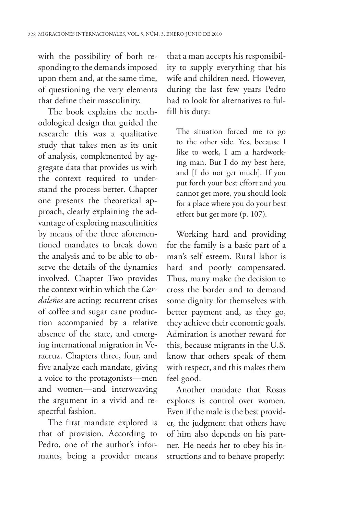with the possibility of both responding to the demands imposed upon them and, at the same time, of questioning the very elements that define their masculinity.

The book explains the methodological design that guided the research: this was a qualitative study that takes men as its unit of analysis, complemented by aggregate data that provides us with the context required to understand the process better. Chapter one presents the theoretical approach, clearly explaining the advantage of exploring masculinities by means of the three aforementioned mandates to break down the analysis and to be able to observe the details of the dynamics involved. Chapter Two provides the context within which the *Cardaleños* are acting: recurrent crises of coffee and sugar cane production accompanied by a relative absence of the state, and emerging international migration in Veracruz. Chapters three, four, and five analyze each mandate, giving a voice to the protagonists—men and women—and interweaving the argument in a vivid and respectful fashion.

The first mandate explored is that of provision. According to Pedro, one of the author's informants, being a provider means

that a man accepts his responsibility to supply everything that his wife and children need. However, during the last few years Pedro had to look for alternatives to fulfill his duty:

The situation forced me to go to the other side. Yes, because I like to work, I am a hardworking man. But I do my best here, and [I do not get much]. If you put forth your best effort and you cannot get more, you should look for a place where you do your best effort but get more (p. 107).

Working hard and providing for the family is a basic part of a man's self esteem. Rural labor is hard and poorly compensated. Thus, many make the decision to cross the border and to demand some dignity for themselves with better payment and, as they go, they achieve their economic goals. Admiration is another reward for this, because migrants in the U.S. know that others speak of them with respect, and this makes them feel good.

Another mandate that Rosas explores is control over women. Even if the male is the best provider, the judgment that others have of him also depends on his partner. He needs her to obey his instructions and to behave properly: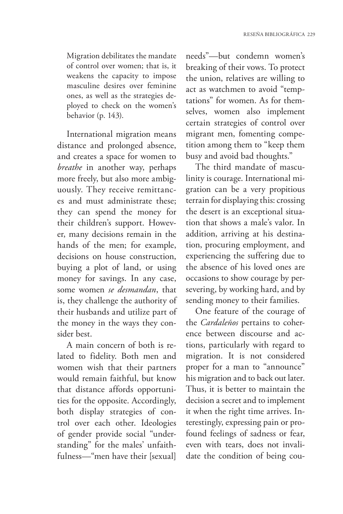Migration debilitates the mandate of control over women; that is, it weakens the capacity to impose masculine desires over feminine ones, as well as the strategies deployed to check on the women's behavior (p. 143).

International migration means distance and prolonged absence, and creates a space for women to *breathe* in another way, perhaps more freely, but also more ambiguously. They receive remittances and must administrate these; they can spend the money for their children's support. However, many decisions remain in the hands of the men; for example, decisions on house construction, buying a plot of land, or using money for savings. In any case, some women *se desmandan*, that is, they challenge the authority of their husbands and utilize part of the money in the ways they consider best.

A main concern of both is related to fidelity. Both men and women wish that their partners would remain faithful, but know that distance affords opportunities for the opposite. Accordingly, both display strategies of control over each other. Ideologies of gender provide social "understanding" for the males' unfaithfulness—"men have their [sexual]

needs"—but condemn women's breaking of their vows. To protect the union, relatives are willing to act as watchmen to avoid "temptations" for women. As for themselves, women also implement certain strategies of control over migrant men, fomenting competition among them to "keep them busy and avoid bad thoughts."

The third mandate of masculinity is courage. International migration can be a very propitious terrain for displaying this: crossing the desert is an exceptional situation that shows a male's valor. In addition, arriving at his destination, procuring employment, and experiencing the suffering due to the absence of his loved ones are occasions to show courage by persevering, by working hard, and by sending money to their families.

One feature of the courage of the *Cardaleños* pertains to coherence between discourse and actions, particularly with regard to migration. It is not considered proper for a man to "announce" his migration and to back out later. Thus, it is better to maintain the decision a secret and to implement it when the right time arrives. Interestingly, expressing pain or profound feelings of sadness or fear, even with tears, does not invalidate the condition of being cou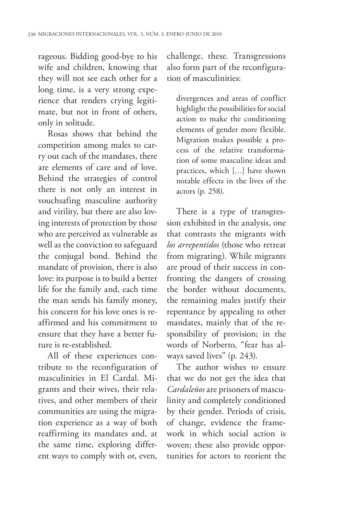rageous. Bidding good-bye to his wife and children, knowing that they will not see each other for a long time, is a very strong experience that renders crying legitimate, but not in front of others, only in solitude.

Rosas shows that behind the competition among males to carry out each of the mandates, there are elements of care and of love. Behind the strategies of control there is not only an interest in vouchsafing masculine authority and virility, but there are also loving interests of protection by those who are perceived as vulnerable as well as the conviction to safeguard the conjugal bond. Behind the mandate of provision, there is also love: its purpose is to build a better life for the family and, each time the man sends his family money, his concern for his love ones is reaffirmed and his commitment to ensure that they have a better future is re-established.

All of these experiences contribute to the reconfiguration of masculinities in El Cardal. Migrants and their wives, their relatives, and other members of their communities are using the migration experience as a way of both reaffirming its mandates and, at the same time, exploring different ways to comply with or, even,

challenge, these. Transgressions also form part of the reconfiguration of masculinities:

divergences and areas of conflict highlight the possibilities for social action to make the conditioning elements of gender more flexible. Migration makes possible a process of the relative transformation of some masculine ideas and practices, which […] have shown notable effects in the lives of the actors (p. 258).

There is a type of transgression exhibited in the analysis, one that contrasts the migrants with *los arrepentidos* (those who retreat from migrating). While migrants are proud of their success in confronting the dangers of crossing the border without documents, the remaining males justify their repentance by appealing to other mandates, mainly that of the responsibility of provision; in the words of Norberto, "fear has always saved lives" (p. 243).

The author wishes to ensure that we do not get the idea that *Cardaleños* are prisoners of masculinity and completely conditioned by their gender. Periods of crisis, of change, evidence the framework in which social action is woven; these also provide opportunities for actors to reorient the